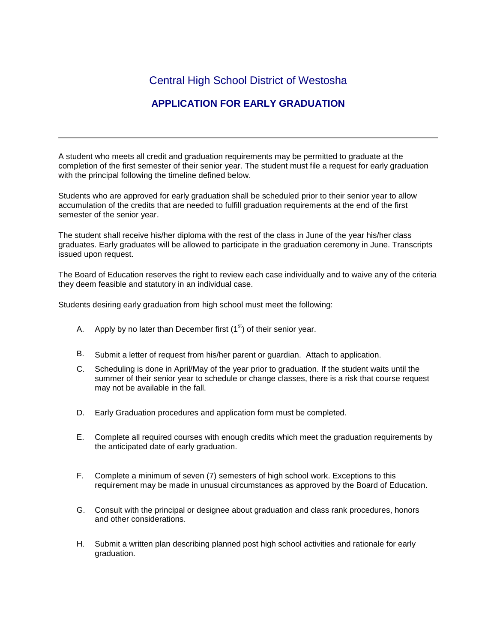## Central High School District of Westosha

## **APPLICATION FOR EARLY GRADUATION**

A student who meets all credit and graduation requirements may be permitted to graduate at the completion of the first semester of their senior year. The student must file a request for early graduation with the principal following the timeline defined below.

Students who are approved for early graduation shall be scheduled prior to their senior year to allow accumulation of the credits that are needed to fulfill graduation requirements at the end of the first semester of the senior year.

The student shall receive his/her diploma with the rest of the class in June of the year his/her class graduates. Early graduates will be allowed to participate in the graduation ceremony in June. Transcripts issued upon request.

The Board of Education reserves the right to review each case individually and to waive any of the criteria they deem feasible and statutory in an individual case.

Students desiring early graduation from high school must meet the following:

- A. Apply by no later than December first  $(1<sup>st</sup>)$  of their senior year.
- B. Submit a letter of request from his/her parent or guardian. Attach to application.
- C. Scheduling is done in April/May of the year prior to graduation. If the student waits until the summer of their senior year to schedule or change classes, there is a risk that course request may not be available in the fall.
- D. Early Graduation procedures and application form must be completed.
- E. Complete all required courses with enough credits which meet the graduation requirements by the anticipated date of early graduation.
- F. Complete a minimum of seven (7) semesters of high school work. Exceptions to this requirement may be made in unusual circumstances as approved by the Board of Education.
- G. Consult with the principal or designee about graduation and class rank procedures, honors and other considerations.
- H. Submit a written plan describing planned post high school activities and rationale for early graduation.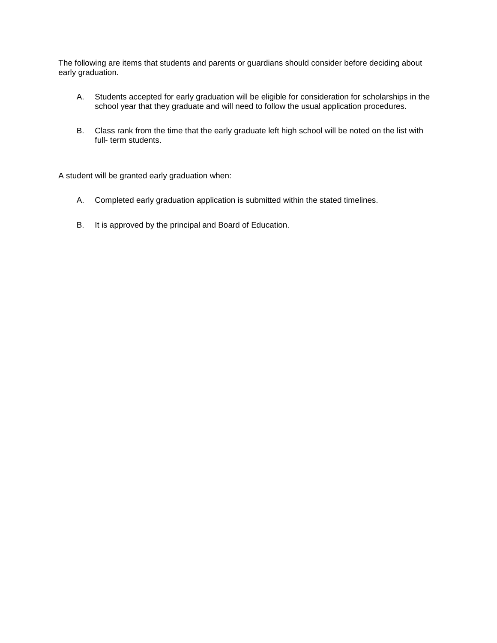The following are items that students and parents or guardians should consider before deciding about early graduation.

- A. Students accepted for early graduation will be eligible for consideration for scholarships in the school year that they graduate and will need to follow the usual application procedures.
- B. Class rank from the time that the early graduate left high school will be noted on the list with full- term students.

A student will be granted early graduation when:

- A. Completed early graduation application is submitted within the stated timelines.
- B. It is approved by the principal and Board of Education.